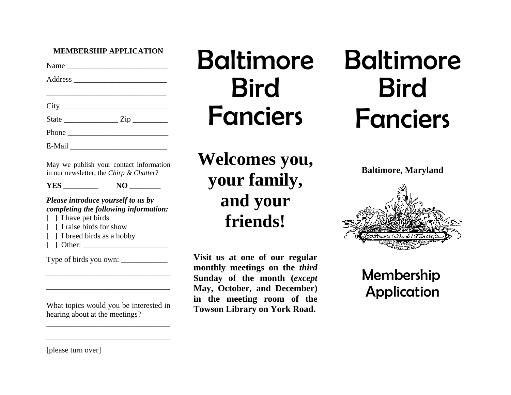#### **MEMBERSHIP APPLICATION**

|                                    | Name  |
|------------------------------------|-------|
|                                    |       |
|                                    |       |
| City                               |       |
|                                    |       |
|                                    | Phone |
| E-Mail<br>$\overline{\phantom{a}}$ |       |

May we publish your contact information in our newsletter, the *Chirp & Chatter*?

#### **YES** NO NO

## *Please introduce yourself to us by completing the following information:*

- [ ] I have pet birds
- [ ] I raise birds for show
- [ ] I breed birds as a hobby
- $\lceil$   $\rceil$  Other:

Type of birds you own: \_\_\_\_\_\_\_\_\_\_\_\_

## What topics would you be interested in hearing about at the meetings?

 $\overline{\phantom{a}}$  , and the contribution of the contribution of the contribution of the contribution of the contribution of the contribution of the contribution of the contribution of the contribution of the contribution of the

 $\overline{\phantom{a}}$  , and the contribution of the contribution of the contribution of the contribution of the contribution of the contribution of the contribution of the contribution of the contribution of the contribution of the

\_\_\_\_\_\_\_\_\_\_\_\_\_\_\_\_\_\_\_\_\_\_\_\_\_\_\_\_\_\_\_\_

\_\_\_\_\_\_\_\_\_\_\_\_\_\_\_\_\_\_\_\_\_\_\_\_\_\_\_\_\_\_\_\_

## Baltimore Bird Fanciers

**Welcomes you, your family, and your friends!** 

**Visit us at one of our regular monthly meetings on the** *third* **Sunday of the month (***except*  **May, October, and December) in the meeting room of the Towson Library on York Road.** 

# Baltimore Bird Fanciers

**Baltimore, Maryland** 



Membership Application

[please turn over]